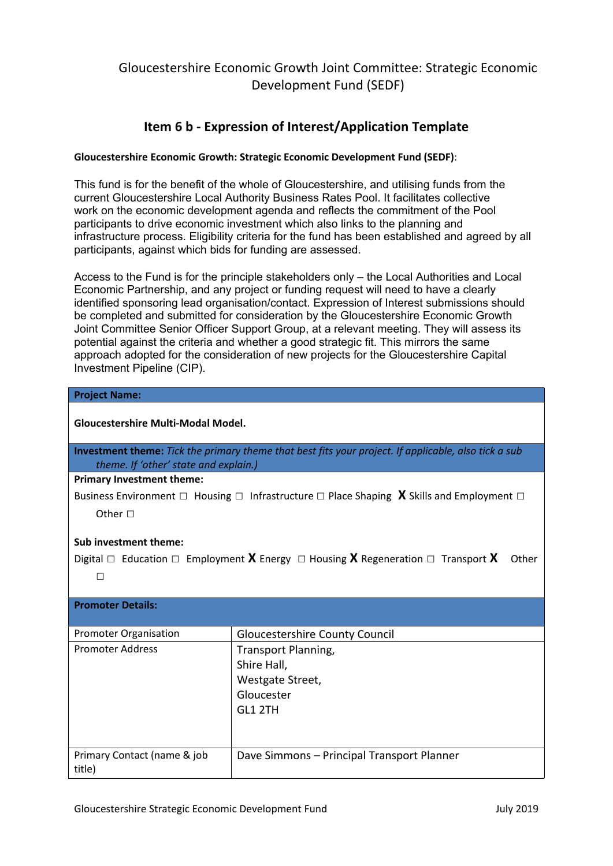### **Item 6 b - Expression of Interest/Application Template**

### **Gloucestershire Economic Growth: Strategic Economic Development Fund (SEDF)**:

This fund is for the benefit of the whole of Gloucestershire, and utilising funds from the current Gloucestershire Local Authority Business Rates Pool. It facilitates collective work on the economic development agenda and reflects the commitment of the Pool participants to drive economic investment which also links to the planning and infrastructure process. Eligibility criteria for the fund has been established and agreed by all participants, against which bids for funding are assessed.

Access to the Fund is for the principle stakeholders only – the Local Authorities and Local Economic Partnership, and any project or funding request will need to have a clearly identified sponsoring lead organisation/contact. Expression of Interest submissions should be completed and submitted for consideration by the Gloucestershire Economic Growth Joint Committee Senior Officer Support Group, at a relevant meeting. They will assess its potential against the criteria and whether a good strategic fit. This mirrors the same approach adopted for the consideration of new projects for the Gloucestershire Capital Investment Pipeline (CIP).

| <b>Project Name:</b>                                                                                                                                 |                                            |  |
|------------------------------------------------------------------------------------------------------------------------------------------------------|--------------------------------------------|--|
| Gloucestershire Multi-Modal Model.                                                                                                                   |                                            |  |
| <b>Investment theme:</b> Tick the primary theme that best fits your project. If applicable, also tick a sub<br>theme. If 'other' state and explain.) |                                            |  |
| <b>Primary Investment theme:</b>                                                                                                                     |                                            |  |
| Business Environment $\Box$ Housing $\Box$ Infrastructure $\Box$ Place Shaping X Skills and Employment $\Box$                                        |                                            |  |
| Other $\square$                                                                                                                                      |                                            |  |
| <b>Sub investment theme:</b>                                                                                                                         |                                            |  |
| Digital $\Box$ Education $\Box$ Employment <b>X</b> Energy $\Box$ Housing <b>X</b> Regeneration $\Box$ Transport <b>X</b><br>Other                   |                                            |  |
| $\Box$                                                                                                                                               |                                            |  |
|                                                                                                                                                      |                                            |  |
| <b>Promoter Details:</b>                                                                                                                             |                                            |  |
| <b>Promoter Organisation</b>                                                                                                                         | <b>Gloucestershire County Council</b>      |  |
| <b>Promoter Address</b>                                                                                                                              | Transport Planning,                        |  |
|                                                                                                                                                      | Shire Hall,                                |  |
|                                                                                                                                                      | Westgate Street,                           |  |
|                                                                                                                                                      | Gloucester                                 |  |
|                                                                                                                                                      | GL1 2TH                                    |  |
|                                                                                                                                                      |                                            |  |
| Primary Contact (name & job<br>title)                                                                                                                | Dave Simmons - Principal Transport Planner |  |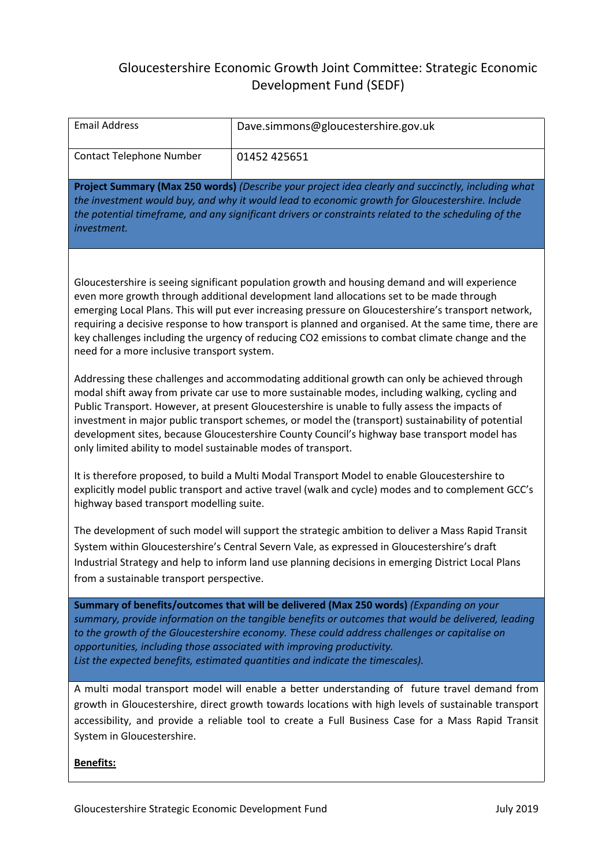| <b>Email Address</b>                                                                                                                                                                                                                                                                                                                                                                                                                                                                                                                                                                                                                                                                                                                                           | Dave.simmons@gloucestershire.gov.uk |  |
|----------------------------------------------------------------------------------------------------------------------------------------------------------------------------------------------------------------------------------------------------------------------------------------------------------------------------------------------------------------------------------------------------------------------------------------------------------------------------------------------------------------------------------------------------------------------------------------------------------------------------------------------------------------------------------------------------------------------------------------------------------------|-------------------------------------|--|
| <b>Contact Telephone Number</b>                                                                                                                                                                                                                                                                                                                                                                                                                                                                                                                                                                                                                                                                                                                                | 01452 425651                        |  |
| Project Summary (Max 250 words) (Describe your project idea clearly and succinctly, including what<br>the investment would buy, and why it would lead to economic growth for Gloucestershire. Include<br>the potential timeframe, and any significant drivers or constraints related to the scheduling of the<br>investment.                                                                                                                                                                                                                                                                                                                                                                                                                                   |                                     |  |
| Gloucestershire is seeing significant population growth and housing demand and will experience<br>even more growth through additional development land allocations set to be made through<br>emerging Local Plans. This will put ever increasing pressure on Gloucestershire's transport network,<br>requiring a decisive response to how transport is planned and organised. At the same time, there are<br>key challenges including the urgency of reducing CO2 emissions to combat climate change and the<br>need for a more inclusive transport system.<br>Addressing these challenges and accommodating additional growth can only be achieved through<br>modal shift away from private car use to more sustainable modes, including walking, cycling and |                                     |  |
| Public Transport. However, at present Gloucestershire is unable to fully assess the impacts of<br>investment in major public transport schemes, or model the (transport) sustainability of potential<br>development sites, because Gloucestershire County Council's highway base transport model has<br>only limited ability to model sustainable modes of transport.                                                                                                                                                                                                                                                                                                                                                                                          |                                     |  |
| It is therefore proposed, to build a Multi Modal Transport Model to enable Gloucestershire to<br>explicitly model public transport and active travel (walk and cycle) modes and to complement GCC's<br>highway based transport modelling suite.                                                                                                                                                                                                                                                                                                                                                                                                                                                                                                                |                                     |  |
| The development of such model will support the strategic ambition to deliver a Mass Rapid Transit<br>System within Gloucestershire's Central Severn Vale, as expressed in Gloucestershire's draft<br>Industrial Strategy and help to inform land use planning decisions in emerging District Local Plans<br>from a sustainable transport perspective.                                                                                                                                                                                                                                                                                                                                                                                                          |                                     |  |
| Summary of benefits/outcomes that will be delivered (Max 250 words) (Expanding on your<br>summary, provide information on the tangible benefits or outcomes that would be delivered, leading<br>to the growth of the Gloucestershire economy. These could address challenges or capitalise on<br>opportunities, including those associated with improving productivity.<br>List the expected benefits, estimated quantities and indicate the timescales).                                                                                                                                                                                                                                                                                                      |                                     |  |
| A multi modal transport model will enable a better understanding of future travel demand from<br>growth in Gloucestershire, direct growth towards locations with high levels of sustainable transport<br>accessibility, and provide a reliable tool to create a Full Business Case for a Mass Rapid Transit<br>System in Gloucestershire.                                                                                                                                                                                                                                                                                                                                                                                                                      |                                     |  |
| <b>Benefits:</b>                                                                                                                                                                                                                                                                                                                                                                                                                                                                                                                                                                                                                                                                                                                                               |                                     |  |

 $\mathcal{L}^{\mathcal{L}}(\mathcal{L}^{\mathcal{L}})$  and  $\mathcal{L}^{\mathcal{L}}(\mathcal{L}^{\mathcal{L}})$  . In the contract of the  $\mathcal{L}^{\mathcal{L}}$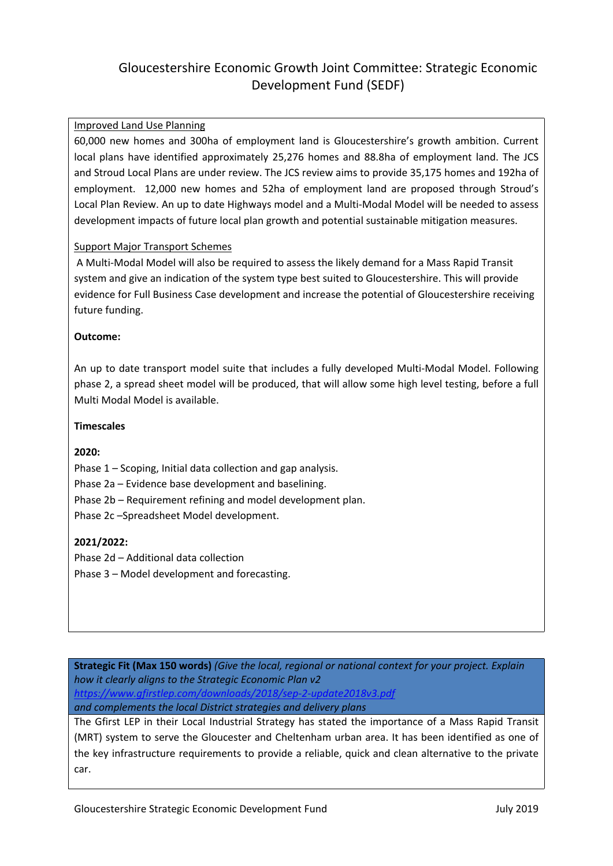#### Improved Land Use Planning

60,000 new homes and 300ha of employment land is Gloucestershire's growth ambition. Current local plans have identified approximately 25,276 homes and 88.8ha of employment land. The JCS and Stroud Local Plans are under review. The JCS review aims to provide 35,175 homes and 192ha of employment. 12,000 new homes and 52ha of employment land are proposed through Stroud's Local Plan Review. An up to date Highways model and a Multi-Modal Model will be needed to assess development impacts of future local plan growth and potential sustainable mitigation measures.

#### Support Major Transport Schemes

A Multi-Modal Model will also be required to assess the likely demand for a Mass Rapid Transit system and give an indication of the system type best suited to Gloucestershire. This will provide evidence for Full Business Case development and increase the potential of Gloucestershire receiving future funding.

#### **Outcome:**

An up to date transport model suite that includes a fully developed Multi-Modal Model. Following phase 2, a spread sheet model will be produced, that will allow some high level testing, before a full Multi Modal Model is available.

#### **Timescales**

#### **2020:**

Phase 1 – Scoping, Initial data collection and gap analysis.

Phase 2a – Evidence base development and baselining.

Phase 2b – Requirement refining and model development plan.

Phase 2c –Spreadsheet Model development.

### **2021/2022:**

Phase 2d – Additional data collection

Phase 3 – Model development and forecasting.

**Strategic Fit (Max 150 words)** *(Give the local, regional or national context for your project. Explain how it clearly aligns to the Strategic Economic Plan v2 <https://www.gfirstlep.com/downloads/2018/sep-2-update2018v3.pdf> and complements the local District strategies and delivery plans*

The Gfirst LEP in their Local Industrial Strategy has stated the importance of a Mass Rapid Transit (MRT) system to serve the Gloucester and Cheltenham urban area. It has been identified as one of the key infrastructure requirements to provide a reliable, quick and clean alternative to the private car.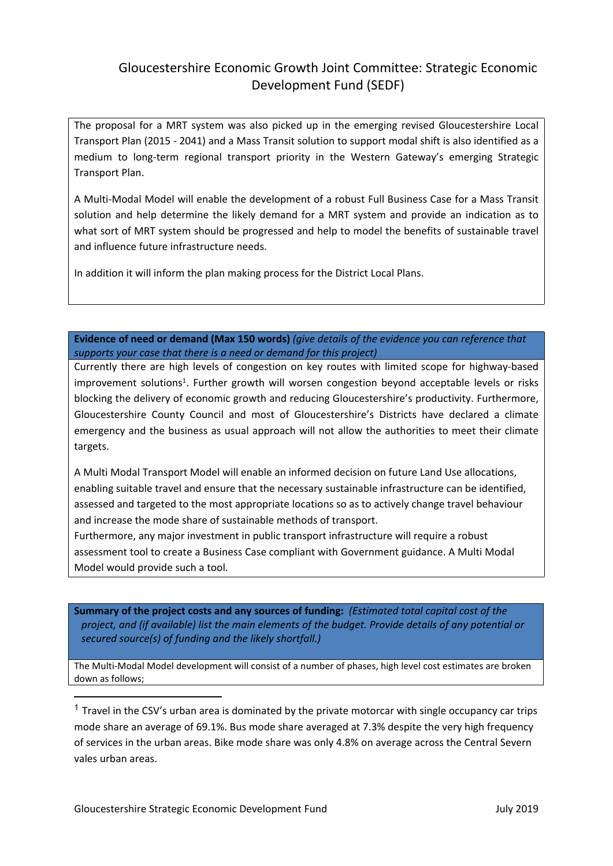The proposal for a MRT system was also picked up in the emerging revised Gloucestershire Local Transport Plan (2015 - 2041) and a Mass Transit solution to support modal shift is also identified as a medium to long-term regional transport priority in the Western Gateway's emerging Strategic Transport Plan.

A Multi-Modal Model will enable the development of a robust Full Business Case for a Mass Transit solution and help determine the likely demand for a MRT system and provide an indication as to what sort of MRT system should be progressed and help to model the benefits of sustainable travel and influence future infrastructure needs.

In addition it will inform the plan making process for the District Local Plans.

**Evidence of need or demand (Max 150 words)** *(give details of the evidence you can reference that supports your case that there is a need or demand for this project)*

Currently there are high levels of congestion on key routes with limited scope for highway-based improvement solutions<sup>1</sup>. Further growth will worsen congestion beyond acceptable levels or risks blocking the delivery of economic growth and reducing Gloucestershire's productivity. Furthermore, Gloucestershire County Council and most of Gloucestershire's Districts have declared a climate emergency and the business as usual approach will not allow the authorities to meet their climate targets.

A Multi Modal Transport Model will enable an informed decision on future Land Use allocations, enabling suitable travel and ensure that the necessary sustainable infrastructure can be identified, assessed and targeted to the most appropriate locations so as to actively change travel behaviour and increase the mode share of sustainable methods of transport.

Furthermore, any major investment in public transport infrastructure will require a robust assessment tool to create a Business Case compliant with Government guidance. A Multi Modal Model would provide such a tool.

**Summary of the project costs and any sources of funding:** *(Estimated total capital cost of the project, and (if available) list the main elements of the budget. Provide details of any potential or secured source(s) of funding and the likely shortfall.)*

The Multi-Modal Model development will consist of a number of phases, high level cost estimates are broken down as follows;

 $<sup>1</sup>$  Travel in the CSV's urban area is dominated by the private motorcar with single occupancy car trips</sup> mode share an average of 69.1%. Bus mode share averaged at 7.3% despite the very high frequency of services in the urban areas. Bike mode share was only 4.8% on average across the Central Severn vales urban areas.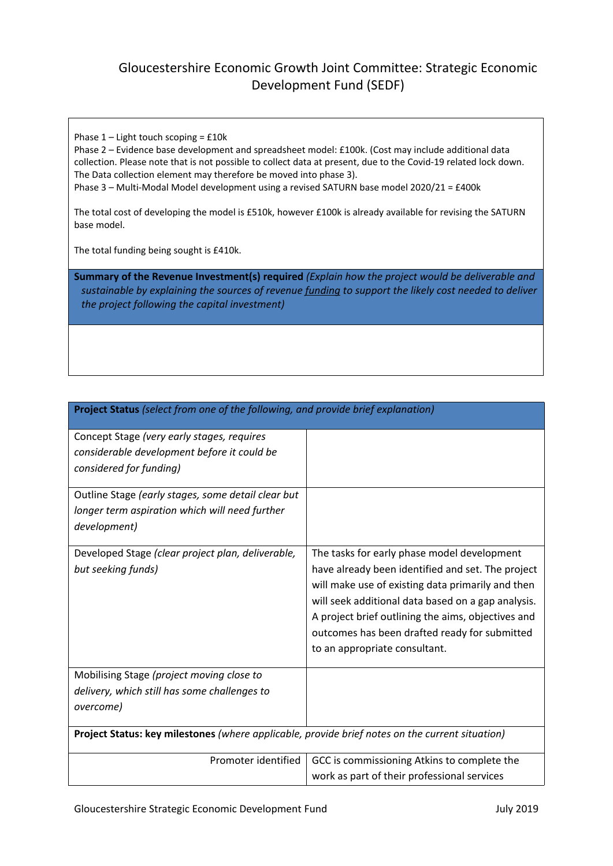Phase  $1 -$  Light touch scoping =  $£10k$ 

Phase 2 – Evidence base development and spreadsheet model: £100k. (Cost may include additional data collection. Please note that is not possible to collect data at present, due to the Covid-19 related lock down. The Data collection element may therefore be moved into phase 3). Phase 3 – Multi-Modal Model development using a revised SATURN base model 2020/21 = £400k

The total cost of developing the model is £510k, however £100k is already available for revising the SATURN base model.

The total funding being sought is £410k.

**Summary of the Revenue Investment(s) required** *(Explain how the project would be deliverable and sustainable by explaining the sources of revenue funding to support the likely cost needed to deliver the project following the capital investment)*

| Project Status (select from one of the following, and provide brief explanation)                |                                                    |  |
|-------------------------------------------------------------------------------------------------|----------------------------------------------------|--|
| Concept Stage (very early stages, requires                                                      |                                                    |  |
| considerable development before it could be                                                     |                                                    |  |
| considered for funding)                                                                         |                                                    |  |
| Outline Stage (early stages, some detail clear but                                              |                                                    |  |
| longer term aspiration which will need further                                                  |                                                    |  |
| development)                                                                                    |                                                    |  |
| Developed Stage (clear project plan, deliverable,                                               | The tasks for early phase model development        |  |
| but seeking funds)                                                                              | have already been identified and set. The project  |  |
|                                                                                                 | will make use of existing data primarily and then  |  |
|                                                                                                 | will seek additional data based on a gap analysis. |  |
|                                                                                                 | A project brief outlining the aims, objectives and |  |
|                                                                                                 | outcomes has been drafted ready for submitted      |  |
|                                                                                                 | to an appropriate consultant.                      |  |
| Mobilising Stage (project moving close to                                                       |                                                    |  |
| delivery, which still has some challenges to                                                    |                                                    |  |
| overcome)                                                                                       |                                                    |  |
|                                                                                                 |                                                    |  |
| Project Status: key milestones (where applicable, provide brief notes on the current situation) |                                                    |  |
| Promoter identified                                                                             | GCC is commissioning Atkins to complete the        |  |
|                                                                                                 | work as part of their professional services        |  |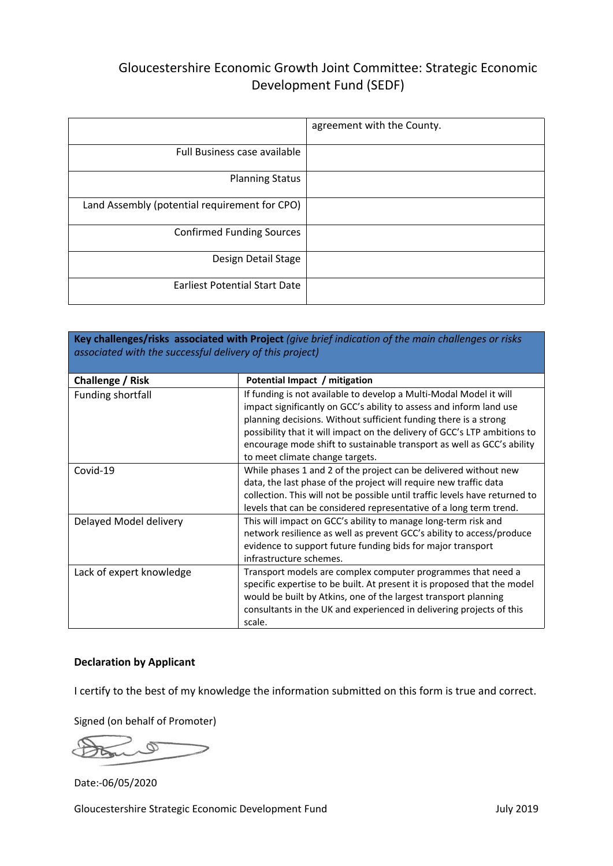|                                               | agreement with the County. |
|-----------------------------------------------|----------------------------|
| Full Business case available                  |                            |
| <b>Planning Status</b>                        |                            |
| Land Assembly (potential requirement for CPO) |                            |
| <b>Confirmed Funding Sources</b>              |                            |
| Design Detail Stage                           |                            |
| <b>Earliest Potential Start Date</b>          |                            |

| Key challenges/risks associated with Project (give brief indication of the main challenges or risks<br>associated with the successful delivery of this project) |                                                                                                                                                                                                                                                                                                                                                                                                         |  |
|-----------------------------------------------------------------------------------------------------------------------------------------------------------------|---------------------------------------------------------------------------------------------------------------------------------------------------------------------------------------------------------------------------------------------------------------------------------------------------------------------------------------------------------------------------------------------------------|--|
| Challenge / Risk                                                                                                                                                | Potential Impact / mitigation                                                                                                                                                                                                                                                                                                                                                                           |  |
| Funding shortfall                                                                                                                                               | If funding is not available to develop a Multi-Modal Model it will<br>impact significantly on GCC's ability to assess and inform land use<br>planning decisions. Without sufficient funding there is a strong<br>possibility that it will impact on the delivery of GCC's LTP ambitions to<br>encourage mode shift to sustainable transport as well as GCC's ability<br>to meet climate change targets. |  |
| Covid-19                                                                                                                                                        | While phases 1 and 2 of the project can be delivered without new<br>data, the last phase of the project will require new traffic data<br>collection. This will not be possible until traffic levels have returned to<br>levels that can be considered representative of a long term trend.                                                                                                              |  |
| Delayed Model delivery                                                                                                                                          | This will impact on GCC's ability to manage long-term risk and<br>network resilience as well as prevent GCC's ability to access/produce<br>evidence to support future funding bids for major transport<br>infrastructure schemes.                                                                                                                                                                       |  |
| Lack of expert knowledge                                                                                                                                        | Transport models are complex computer programmes that need a<br>specific expertise to be built. At present it is proposed that the model<br>would be built by Atkins, one of the largest transport planning<br>consultants in the UK and experienced in delivering projects of this<br>scale.                                                                                                           |  |

### **Declaration by Applicant**

I certify to the best of my knowledge the information submitted on this form is true and correct.

Signed (on behalf of Promoter)

 $\varphi$ 

Date:-06/05/2020

Gloucestershire Strategic Economic Development Fund July 2019